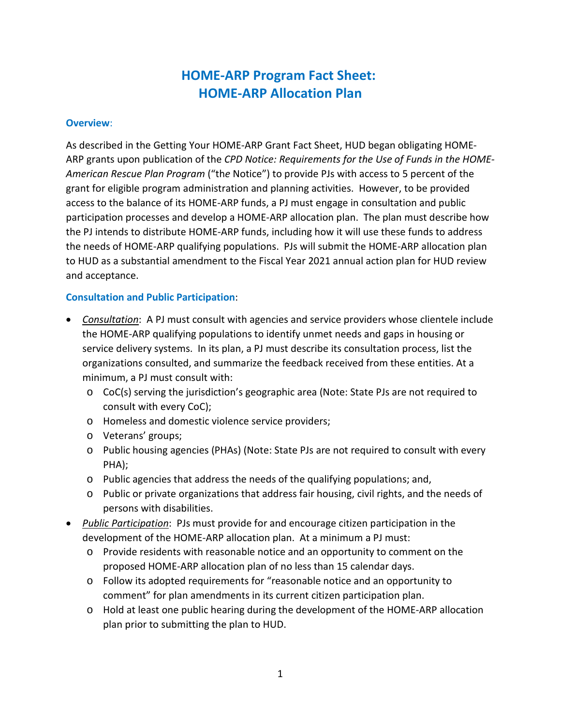# **HOME-ARP Program Fact Sheet: HOME-ARP Allocation Plan**

#### **Overview**:

 As described in the Getting Your HOME-ARP Grant Fact Sheet, HUD began obligating HOME- ARP grants upon publication of the *CPD Notice: Requirements for the Use of Funds in the HOME- American Rescue Plan Program* ("th*e* Notice") to provide PJs with access to 5 percent of the grant for eligible program administration and planning activities. However, to be provided access to the balance of its HOME-ARP funds, a PJ must engage in consultation and public participation processes and develop a HOME-ARP allocation plan. The plan must describe how the PJ intends to distribute HOME-ARP funds, including how it will use these funds to address the needs of HOME-ARP qualifying populations. PJs will submit the HOME-ARP allocation plan to HUD as a substantial amendment to the Fiscal Year 2021 annual action plan for HUD review and acceptance.

### **Consultation and Public Participation**:

- *Consultation*: A PJ must consult with agencies and service providers whose clientele include the HOME-ARP qualifying populations to identify unmet needs and gaps in housing or service delivery systems. In its plan, a PJ must describe its consultation process, list the organizations consulted, and summarize the feedback received from these entities. At a minimum, a PJ must consult with:
	- o CoC(s) serving the jurisdiction's geographic area (Note: State PJs are not required to consult with every CoC);
	- o Homeless and domestic violence service providers;
	- o Veterans' groups;
	- o Public housing agencies (PHAs) (Note: State PJs are not required to consult with every PHA);
	- o Public agencies that address the needs of the qualifying populations; and,
	- o Public or private organizations that address fair housing, civil rights, and the needs of persons with disabilities.
- *Public Participation*: PJs must provide for and encourage citizen participation in the development of the HOME-ARP allocation plan. At a minimum a PJ must:
	- o Provide residents with reasonable notice and an opportunity to comment on the proposed HOME-ARP allocation plan of no less than 15 calendar days.
	- o Follow its adopted requirements for "reasonable notice and an opportunity to comment" for plan amendments in its current citizen participation plan.
	- o Hold at least one public hearing during the development of the HOME-ARP allocation plan prior to submitting the plan to HUD.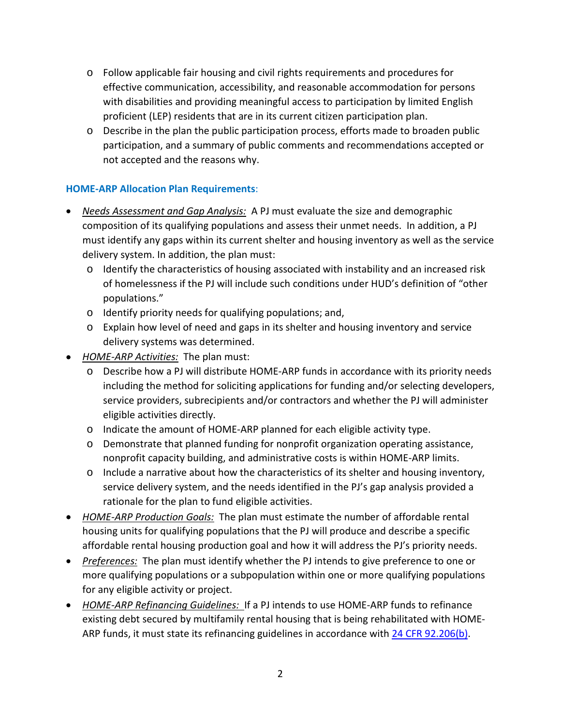- o Follow applicable fair housing and civil rights requirements and procedures for effective communication, accessibility, and reasonable accommodation for persons with disabilities and providing meaningful access to participation by limited English proficient (LEP) residents that are in its current citizen participation plan.
- o Describe in the plan the public participation process, efforts made to broaden public participation, and a summary of public comments and recommendations accepted or not accepted and the reasons why.

# **HOME-ARP Allocation Plan Requirements**:

- *Needs Assessment and Gap Analysis:* A PJ must evaluate the size and demographic composition of its qualifying populations and assess their unmet needs. In addition, a PJ must identify any gaps within its current shelter and housing inventory as well as the service delivery system. In addition, the plan must:
	- o Identify the characteristics of housing associated with instability and an increased risk of homelessness if the PJ will include such conditions under HUD's definition of "other populations."
	- o Identify priority needs for qualifying populations; and,
	- o Explain how level of need and gaps in its shelter and housing inventory and service delivery systems was determined.
- *HOME-ARP Activities:* The plan must:
	- o Describe how a PJ will distribute HOME-ARP funds in accordance with its priority needs including the method for soliciting applications for funding and/or selecting developers, service providers, subrecipients and/or contractors and whether the PJ will administer eligible activities directly.
	- o Indicate the amount of HOME-ARP planned for each eligible activity type.
	- o Demonstrate that planned funding for nonprofit organization operating assistance, nonprofit capacity building, and administrative costs is within HOME-ARP limits.
	- o Include a narrative about how the characteristics of its shelter and housing inventory, service delivery system, and the needs identified in the PJ's gap analysis provided a rationale for the plan to fund eligible activities.
- *HOME-ARP Production Goals:* The plan must estimate the number of affordable rental housing units for qualifying populations that the PJ will produce and describe a specific affordable rental housing production goal and how it will address the PJ's priority needs.
- *Preferences:* The plan must identify whether the PJ intends to give preference to one or more qualifying populations or a subpopulation within one or more qualifying populations for any eligible activity or project.
- *HOME-ARP Refinancing Guidelines:* If a PJ intends to use HOME-ARP funds to refinance existing debt secured by multifamily rental housing that is being rehabilitated with HOME-ARP funds, it must state its refinancing guidelines in accordance with [24 CFR 92.206\(b\).](https://www.ecfr.gov/cgi-bin/text-idx?SID=273620a3dcadf1c5e247ef949a4fd87c&mc=true&node=se24.1.92_1206&rgn=div8)